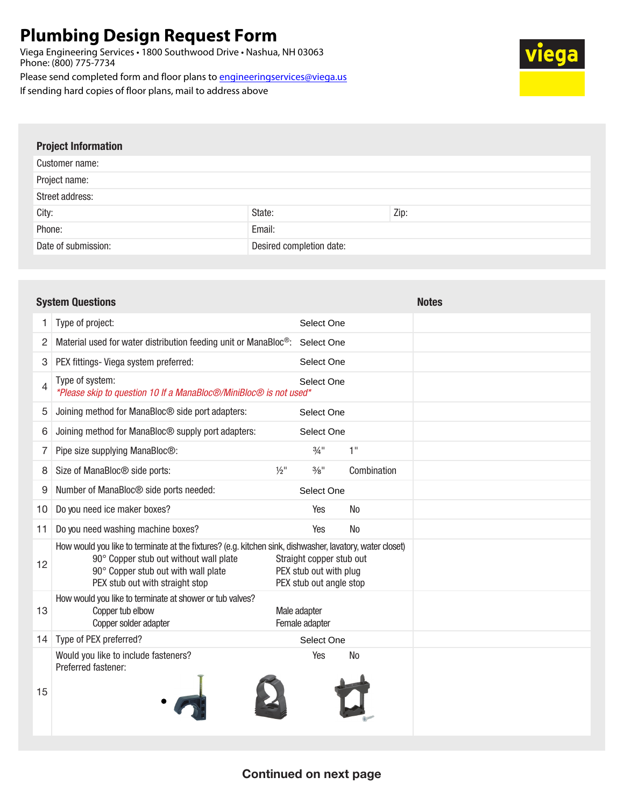## **Plumbing Design Request Form**

Viega Engineering Services • 1800 Southwood Drive • Nashua, NH 03063 Phone: (800) 775-7734

Please send completed form and floor plans to engineeringservices@viega.us

If sending hard copies of floor plans, mail to address above

| <b>Project Information</b> |                          |      |  |  |  |
|----------------------------|--------------------------|------|--|--|--|
| Customer name:             |                          |      |  |  |  |
| Project name:              |                          |      |  |  |  |
| Street address:            |                          |      |  |  |  |
| City:                      | State:                   | Zip: |  |  |  |
| Phone:                     | Email:                   |      |  |  |  |
| Date of submission:        | Desired completion date: |      |  |  |  |

|    | <b>System Questions</b>                                                                                                                                                                                                      |                                                                               |                | <b>Notes</b> |
|----|------------------------------------------------------------------------------------------------------------------------------------------------------------------------------------------------------------------------------|-------------------------------------------------------------------------------|----------------|--------------|
| 1  | Type of project:                                                                                                                                                                                                             | Select One                                                                    |                |              |
| 2  | Material used for water distribution feeding unit or ManaBloc®: Select One                                                                                                                                                   |                                                                               |                |              |
| 3  | PEX fittings- Viega system preferred:                                                                                                                                                                                        | Select One                                                                    |                |              |
| 4  | Type of system:<br>*Please skip to question 10 If a ManaBloc <sup>®</sup> /MiniBloc <sup>®</sup> is not used*                                                                                                                | Select One                                                                    |                |              |
| 5  | Joining method for ManaBloc® side port adapters:                                                                                                                                                                             | Select One                                                                    |                |              |
| 6  | Joining method for ManaBloc <sup>®</sup> supply port adapters:                                                                                                                                                               | Select One                                                                    |                |              |
| 7  | Pipe size supplying ManaBloc®:                                                                                                                                                                                               | $3/4$ <sup>11</sup>                                                           | 1"             |              |
| 8  | $1/2$ <sup>11</sup><br>Size of ManaBloc <sup>®</sup> side ports:                                                                                                                                                             | $\frac{3}{8}$ "                                                               | Combination    |              |
| 9  | Number of ManaBloc <sup>®</sup> side ports needed:                                                                                                                                                                           | Select One                                                                    |                |              |
| 10 | Do you need ice maker boxes?                                                                                                                                                                                                 | Yes                                                                           | <b>No</b>      |              |
| 11 | Do you need washing machine boxes?                                                                                                                                                                                           | Yes                                                                           | <b>No</b>      |              |
| 12 | How would you like to terminate at the fixtures? (e.g. kitchen sink, dishwasher, lavatory, water closet)<br>90° Copper stub out without wall plate<br>90° Copper stub out with wall plate<br>PEX stub out with straight stop | Straight copper stub out<br>PEX stub out with plug<br>PEX stub out angle stop |                |              |
| 13 | How would you like to terminate at shower or tub valves?<br>Copper tub elbow<br>Copper solder adapter                                                                                                                        | Male adapter<br>Female adapter                                                |                |              |
| 14 | Type of PEX preferred?                                                                                                                                                                                                       | Select One                                                                    |                |              |
| 15 | Would you like to include fasteners?<br>Preferred fastener:                                                                                                                                                                  | Yes                                                                           | N <sub>o</sub> |              |

## Continued on next page